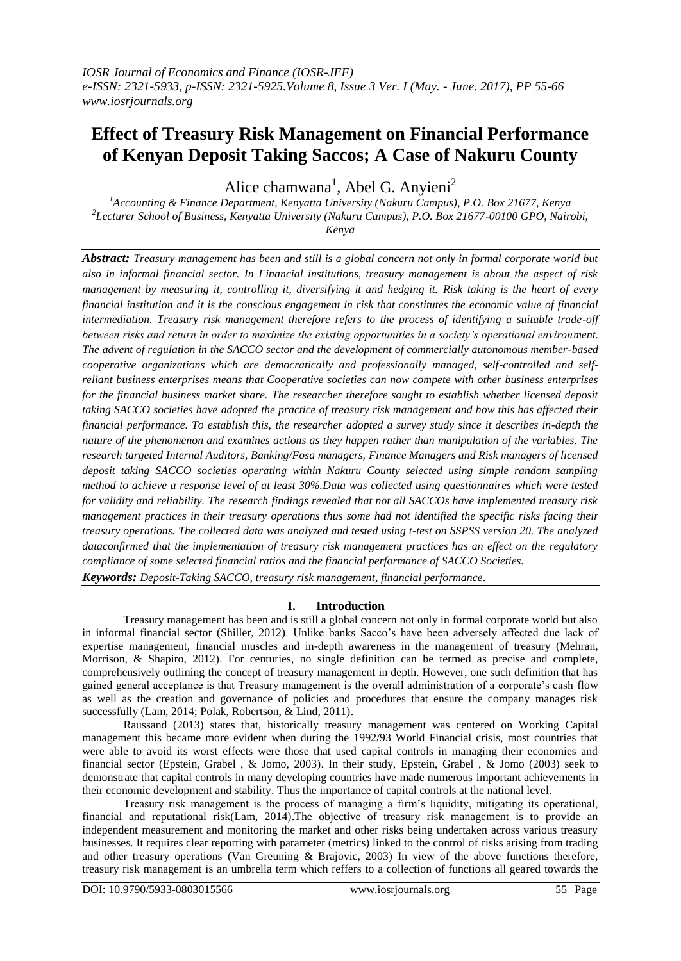# **Effect of Treasury Risk Management on Financial Performance of Kenyan Deposit Taking Saccos; A Case of Nakuru County**

Alice chamwana<sup>1</sup>, Abel G. Anyieni<sup>2</sup>

*<sup>1</sup>Accounting & Finance Department, Kenyatta University (Nakuru Campus), P.O. Box 21677, Kenya 2 Lecturer School of Business, Kenyatta University (Nakuru Campus), P.O. Box 21677-00100 GPO, Nairobi, Kenya*

*Abstract: Treasury management has been and still is a global concern not only in formal corporate world but also in informal financial sector. In Financial institutions, treasury management is about the aspect of risk management by measuring it, controlling it, diversifying it and hedging it. Risk taking is the heart of every financial institution and it is the conscious engagement in risk that constitutes the economic value of financial intermediation. Treasury risk management therefore refers to the process of identifying a suitable trade-off between risks and return in order to maximize the existing opportunities in a society's operational environment. The advent of regulation in the SACCO sector and the development of commercially autonomous member-based cooperative organizations which are democratically and professionally managed, self-controlled and selfreliant business enterprises means that Cooperative societies can now compete with other business enterprises for the financial business market share. The researcher therefore sought to establish whether licensed deposit taking SACCO societies have adopted the practice of treasury risk management and how this has affected their financial performance. To establish this, the researcher adopted a survey study since it describes in-depth the nature of the phenomenon and examines actions as they happen rather than manipulation of the variables. The research targeted Internal Auditors, Banking/Fosa managers, Finance Managers and Risk managers of licensed deposit taking SACCO societies operating within Nakuru County selected using simple random sampling method to achieve a response level of at least 30%.Data was collected using questionnaires which were tested for validity and reliability. The research findings revealed that not all SACCOs have implemented treasury risk management practices in their treasury operations thus some had not identified the specific risks facing their treasury operations. The collected data was analyzed and tested using t-test on SSPSS version 20. The analyzed dataconfirmed that the implementation of treasury risk management practices has an effect on the regulatory compliance of some selected financial ratios and the financial performance of SACCO Societies. Keywords: Deposit-Taking SACCO, treasury risk management, financial performance*.

# **I. Introduction**

Treasury management has been and is still a global concern not only in formal corporate world but also in informal financial sector (Shiller, 2012). Unlike banks Sacco's have been adversely affected due lack of expertise management, financial muscles and in-depth awareness in the management of treasury (Mehran, Morrison, & Shapiro, 2012). For centuries, no single definition can be termed as precise and complete, comprehensively outlining the concept of treasury management in depth. However, one such definition that has gained general acceptance is that Treasury management is the overall administration of a corporate's cash flow as well as the creation and governance of policies and procedures that ensure the company manages risk successfully (Lam, 2014; Polak, Robertson, & Lind, 2011).

Raussand (2013) states that, historically treasury management was centered on Working Capital management this became more evident when during the 1992/93 World Financial crisis, most countries that were able to avoid its worst effects were those that used capital controls in managing their economies and financial sector (Epstein, Grabel , & Jomo, 2003). In their study, Epstein, Grabel , & Jomo (2003) seek to demonstrate that capital controls in many developing countries have made numerous important achievements in their economic development and stability. Thus the importance of capital controls at the national level.

Treasury risk management is the process of managing a firm's liquidity, mitigating its operational, financial and reputational risk(Lam, 2014).The objective of treasury risk management is to provide an independent measurement and monitoring the market and other risks being undertaken across various treasury businesses. It requires clear reporting with parameter (metrics) linked to the control of risks arising from trading and other treasury operations (Van Greuning & Brajovic, 2003) In view of the above functions therefore, treasury risk management is an umbrella term which reffers to a collection of functions all geared towards the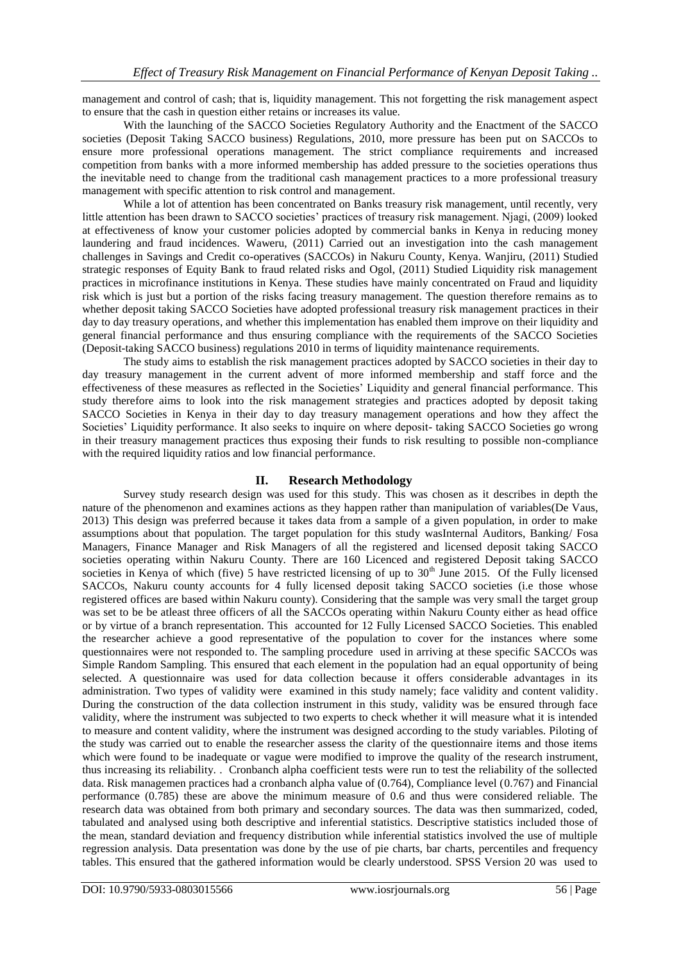management and control of cash; that is, liquidity management. This not forgetting the risk management aspect to ensure that the cash in question either retains or increases its value.

With the launching of the SACCO Societies Regulatory Authority and the Enactment of the SACCO societies (Deposit Taking SACCO business) Regulations, 2010, more pressure has been put on SACCOs to ensure more professional operations management. The strict compliance requirements and increased competition from banks with a more informed membership has added pressure to the societies operations thus the inevitable need to change from the traditional cash management practices to a more professional treasury management with specific attention to risk control and management.

While a lot of attention has been concentrated on Banks treasury risk management, until recently, very little attention has been drawn to SACCO societies' practices of treasury risk management. Njagi, (2009) looked at effectiveness of know your customer policies adopted by commercial banks in Kenya in reducing money laundering and fraud incidences. Waweru, (2011) Carried out an investigation into the cash management challenges in Savings and Credit co-operatives (SACCOs) in Nakuru County, Kenya. Wanjiru, (2011) Studied strategic responses of Equity Bank to fraud related risks and Ogol, (2011) Studied Liquidity risk management practices in microfinance institutions in Kenya. These studies have mainly concentrated on Fraud and liquidity risk which is just but a portion of the risks facing treasury management. The question therefore remains as to whether deposit taking SACCO Societies have adopted professional treasury risk management practices in their day to day treasury operations, and whether this implementation has enabled them improve on their liquidity and general financial performance and thus ensuring compliance with the requirements of the SACCO Societies (Deposit-taking SACCO business) regulations 2010 in terms of liquidity maintenance requirements.

The study aims to establish the risk management practices adopted by SACCO societies in their day to day treasury management in the current advent of more informed membership and staff force and the effectiveness of these measures as reflected in the Societies' Liquidity and general financial performance. This study therefore aims to look into the risk management strategies and practices adopted by deposit taking SACCO Societies in Kenya in their day to day treasury management operations and how they affect the Societies' Liquidity performance. It also seeks to inquire on where deposit- taking SACCO Societies go wrong in their treasury management practices thus exposing their funds to risk resulting to possible non-compliance with the required liquidity ratios and low financial performance.

# **II. Research Methodology**

Survey study research design was used for this study. This was chosen as it describes in depth the nature of the phenomenon and examines actions as they happen rather than manipulation of variables(De Vaus, 2013) This design was preferred because it takes data from a sample of a given population, in order to make assumptions about that population. The target population for this study wasInternal Auditors, Banking/ Fosa Managers, Finance Manager and Risk Managers of all the registered and licensed deposit taking SACCO societies operating within Nakuru County. There are 160 Licenced and registered Deposit taking SACCO societies in Kenya of which (five) 5 have restricted licensing of up to  $30<sup>th</sup>$  June 2015. Of the Fully licensed SACCOs, Nakuru county accounts for 4 fully licensed deposit taking SACCO societies (i.e those whose registered offices are based within Nakuru county). Considering that the sample was very small the target group was set to be be atleast three officers of all the SACCOs operating within Nakuru County either as head office or by virtue of a branch representation. This accounted for 12 Fully Licensed SACCO Societies. This enabled the researcher achieve a good representative of the population to cover for the instances where some questionnaires were not responded to. The sampling procedure used in arriving at these specific SACCOs was Simple Random Sampling. This ensured that each element in the population had an equal opportunity of being selected. A questionnaire was used for data collection because it offers considerable advantages in its administration. Two types of validity were examined in this study namely; face validity and content validity. During the construction of the data collection instrument in this study, validity was be ensured through face validity, where the instrument was subjected to two experts to check whether it will measure what it is intended to measure and content validity, where the instrument was designed according to the study variables. Piloting of the study was carried out to enable the researcher assess the clarity of the questionnaire items and those items which were found to be inadequate or vague were modified to improve the quality of the research instrument, thus increasing its reliability. . Cronbanch alpha coefficient tests were run to test the reliability of the sollected data. Risk managemen practices had a cronbanch alpha value of (0.764), Compliance level (0.767) and Financial performance (0.785) these are above the minimum measure of 0.6 and thus were considered reliable. The research data was obtained from both primary and secondary sources. The data was then summarized, coded, tabulated and analysed using both descriptive and inferential statistics. Descriptive statistics included those of the mean, standard deviation and frequency distribution while inferential statistics involved the use of multiple regression analysis. Data presentation was done by the use of pie charts, bar charts, percentiles and frequency tables. This ensured that the gathered information would be clearly understood. SPSS Version 20 was used to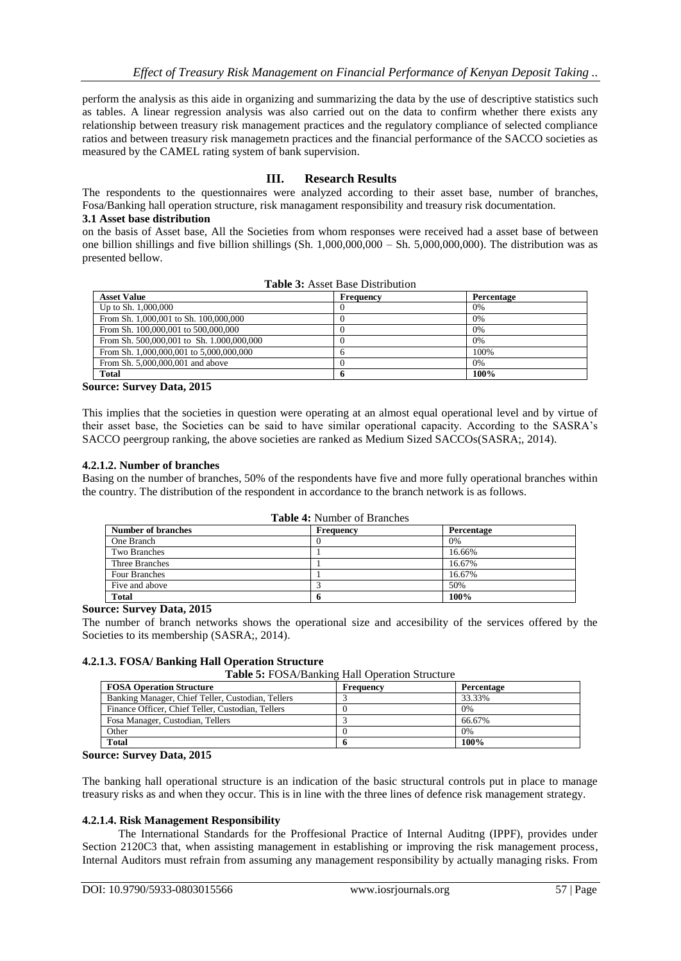perform the analysis as this aide in organizing and summarizing the data by the use of descriptive statistics such as tables. A linear regression analysis was also carried out on the data to confirm whether there exists any relationship between treasury risk management practices and the regulatory compliance of selected compliance ratios and between treasury risk managemetn practices and the financial performance of the SACCO societies as measured by the CAMEL rating system of bank supervision.

# **III. Research Results**

The respondents to the questionnaires were analyzed according to their asset base, number of branches, Fosa/Banking hall operation structure, risk managament responsibility and treasury risk documentation. **3.1 Asset base distribution**

on the basis of Asset base, All the Societies from whom responses were received had a asset base of between one billion shillings and five billion shillings (Sh.  $1,000,000,000 - S$ h. 5,000,000,000). The distribution was as presented bellow.

| <b>Asset Value</b>                        | Frequency | Percentage |
|-------------------------------------------|-----------|------------|
| Up to Sh. 1,000,000                       |           | 0%         |
| From Sh. 1,000,001 to Sh. 100,000,000     |           | 0%         |
| From Sh. 100,000,001 to 500,000,000       |           | 0%         |
| From Sh. 500,000,001 to Sh. 1.000,000,000 |           | 0%         |
| From Sh. 1,000,000,001 to 5,000,000,000   |           | 100%       |
| From Sh. 5,000,000,001 and above          |           | 0%         |
| <b>Total</b>                              |           | 100%       |

|  |  |  | <b>Table 3:</b> Asset Base Distribution |
|--|--|--|-----------------------------------------|
|--|--|--|-----------------------------------------|

**Source: Survey Data, 2015**

This implies that the societies in question were operating at an almost equal operational level and by virtue of their asset base, the Societies can be said to have similar operational capacity. According to the SASRA's SACCO peergroup ranking, the above societies are ranked as Medium Sized SACCOs(SASRA;, 2014).

# **4.2.1.2. Number of branches**

Basing on the number of branches, 50% of the respondents have five and more fully operational branches within the country. The distribution of the respondent in accordance to the branch network is as follows.

| <b>Table 4: Number of Branches</b> |  |
|------------------------------------|--|
|------------------------------------|--|

| <b>Number of branches</b> | Frequency | Percentage |
|---------------------------|-----------|------------|
| One Branch                |           | 0%         |
| <b>Two Branches</b>       |           | 16.66%     |
| Three Branches            |           | 16.67%     |
| Four Branches             |           | 16.67%     |
| Five and above            |           | 50%        |
| <b>Total</b>              |           | 100%       |

# **Source: Survey Data, 2015**

The number of branch networks shows the operational size and accesibility of the services offered by the Societies to its membership (SASRA;, 2014).

# **4.2.1.3. FOSA/ Banking Hall Operation Structure**

**Table 5:** FOSA/Banking Hall Operation Structure

| <b>FOSA Operation Structure</b>                   | Frequency | Percentage |
|---------------------------------------------------|-----------|------------|
| Banking Manager, Chief Teller, Custodian, Tellers |           | 33.33%     |
| Finance Officer, Chief Teller, Custodian, Tellers |           | $0\%$      |
| Fosa Manager, Custodian, Tellers                  |           | 66.67%     |
| Other                                             |           | 0%         |
| <b>Total</b>                                      |           | 100%       |

**Source: Survey Data, 2015**

The banking hall operational structure is an indication of the basic structural controls put in place to manage treasury risks as and when they occur. This is in line with the three lines of defence risk management strategy.

# **4.2.1.4. Risk Management Responsibility**

The International Standards for the Proffesional Practice of Internal Auditng (IPPF), provides under Section 2120C3 that, when assisting management in establishing or improving the risk management process, Internal Auditors must refrain from assuming any management responsibility by actually managing risks. From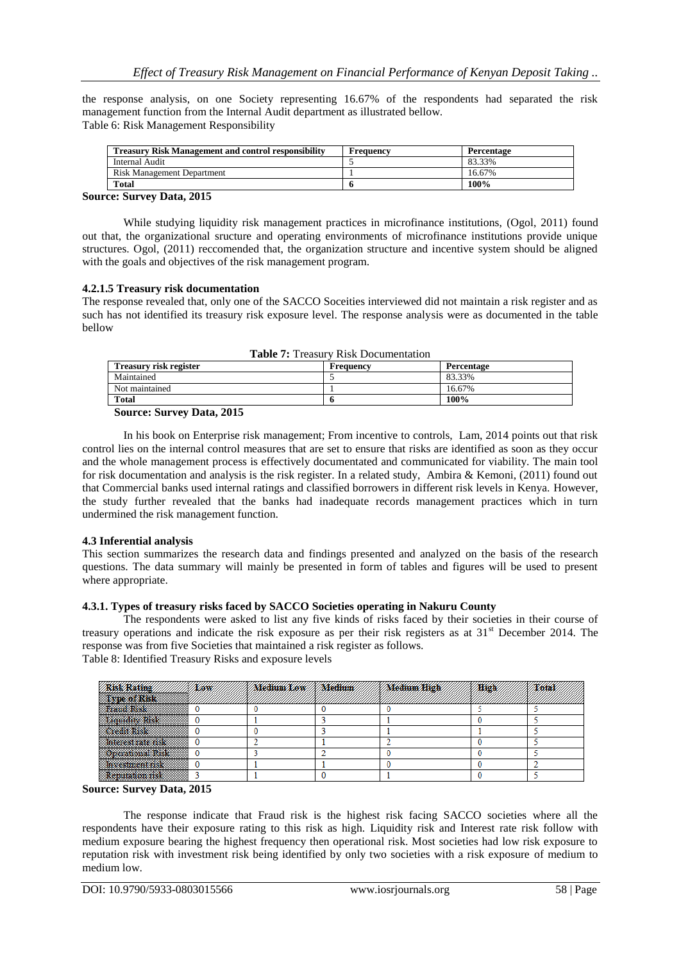the response analysis, on one Society representing 16.67% of the respondents had separated the risk management function from the Internal Audit department as illustrated bellow. Table 6: Risk Management Responsibility

| <b>Treasury Risk Management and control responsibility</b> | Frequency | Percentage |
|------------------------------------------------------------|-----------|------------|
| Internal Audit                                             |           | 83.33%     |
| Risk Management Department                                 |           | 16.67%     |
| Total                                                      |           | 100%       |

# **Source: Survey Data, 2015**

While studying liquidity risk management practices in microfinance institutions, (Ogol, 2011) found out that, the organizational sructure and operating environments of microfinance institutions provide unique structures. Ogol, (2011) reccomended that, the organization structure and incentive system should be aligned with the goals and objectives of the risk management program.

# **4.2.1.5 Treasury risk documentation**

The response revealed that, only one of the SACCO Soceities interviewed did not maintain a risk register and as such has not identified its treasury risk exposure level. The response analysis were as documented in the table bellow

| <b>Table 7.</b> Treasury Kisk Documentation |           |            |  |  |  |  |
|---------------------------------------------|-----------|------------|--|--|--|--|
| Treasury risk register                      | Frequency | Percentage |  |  |  |  |
| Maintained                                  |           | 83.33%     |  |  |  |  |
| Not maintained                              |           | 16.67%     |  |  |  |  |
| <b>Total</b>                                |           | 100%       |  |  |  |  |

## **Table 7:** Treasury Risk Documentation

#### **Source: Survey Data, 2015**

In his book on Enterprise risk management; From incentive to controls, Lam, 2014 points out that risk control lies on the internal control measures that are set to ensure that risks are identified as soon as they occur and the whole management process is effectively documentated and communicated for viability. The main tool for risk documentation and analysis is the risk register. In a related study, Ambira & Kemoni, (2011) found out that Commercial banks used internal ratings and classified borrowers in different risk levels in Kenya. However, the study further revealed that the banks had inadequate records management practices which in turn undermined the risk management function.

# **4.3 Inferential analysis**

This section summarizes the research data and findings presented and analyzed on the basis of the research questions. The data summary will mainly be presented in form of tables and figures will be used to present where appropriate.

# **4.3.1. Types of treasury risks faced by SACCO Societies operating in Nakuru County**

The respondents were asked to list any five kinds of risks faced by their societies in their course of treasury operations and indicate the risk exposure as per their risk registers as at  $31<sup>st</sup>$  December 2014. The response was from five Societies that maintained a risk register as follows. Table 8: Identified Treasury Risks and exposure levels

|                         | <b>Law</b> | <b><i>Medium/Low // Medium</i></b> | Medium High | Hick/ |  |
|-------------------------|------------|------------------------------------|-------------|-------|--|
|                         |            |                                    |             |       |  |
| <b>Exquisite Risk</b>   |            |                                    |             |       |  |
| <b>Credit Risk</b>      |            |                                    |             |       |  |
| <b>STILLER LEE TOO</b>  |            |                                    |             |       |  |
| <b>Jueration d'Arsk</b> |            |                                    |             |       |  |
| <b>Investment risk</b>  |            |                                    |             |       |  |
| enutation risk?         |            |                                    |             |       |  |

#### **Source: Survey Data, 2015**

The response indicate that Fraud risk is the highest risk facing SACCO societies where all the respondents have their exposure rating to this risk as high. Liquidity risk and Interest rate risk follow with medium exposure bearing the highest frequency then operational risk. Most societies had low risk exposure to reputation risk with investment risk being identified by only two societies with a risk exposure of medium to medium low.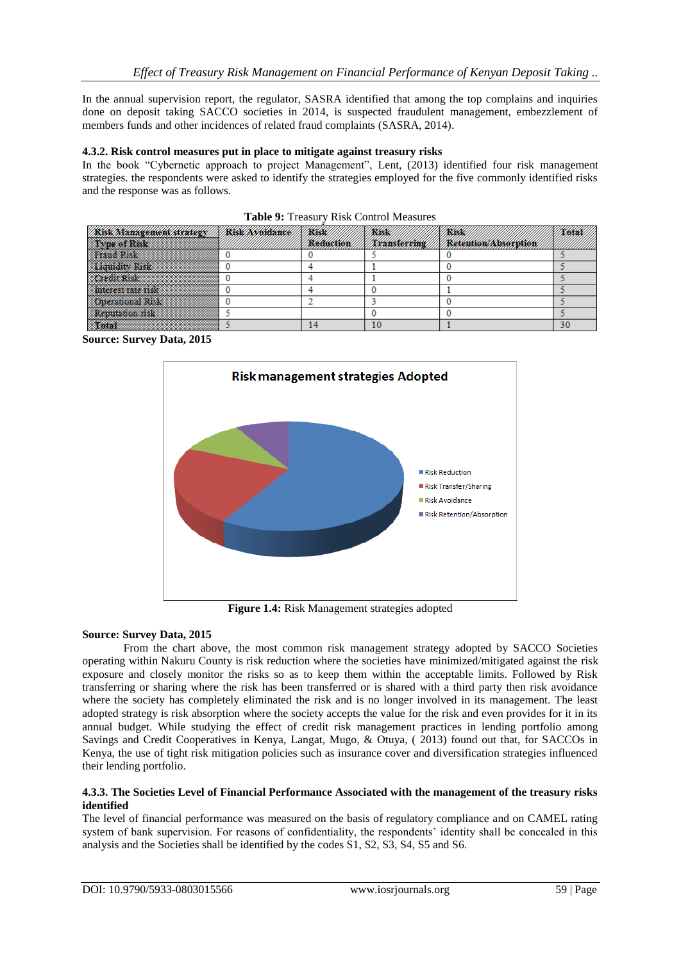In the annual supervision report, the regulator, SASRA identified that among the top complains and inquiries done on deposit taking SACCO societies in 2014, is suspected fraudulent management, embezzlement of members funds and other incidences of related fraud complaints (SASRA, 2014).

# **4.3.2. Risk control measures put in place to mitigate against treasury risks**

In the book "Cybernetic approach to project Management", Lent, (2013) identified four risk management strategies. the respondents were asked to identify the strategies employed for the five commonly identified risks and the response was as follows.

| <i><b>Risk Management strategy/</b></i> | <b>X/RXSK/XX16101ance//X/RXSK/</b> | //X/ <b>R\$\$\$!</b> // | <b>XARSSKI</b> | <b>X/X6tal</b> |
|-----------------------------------------|------------------------------------|-------------------------|----------------|----------------|
| <b>Thus of Risk</b>                     |                                    |                         |                |                |
| <b>Strand Rick</b>                      |                                    |                         |                |                |
| <b>Examining Risk</b>                   |                                    |                         |                |                |
| <i>de Stadio</i>                        |                                    |                         |                |                |
| <b>Exhibition and The Property</b>      |                                    |                         |                |                |
| <b>Song Communication</b>               |                                    |                         |                |                |
| <b>Production RM</b>                    |                                    |                         |                |                |
|                                         |                                    |                         |                | 30             |

|  |  |  |  | Table 9: Treasury Risk Control Measures |
|--|--|--|--|-----------------------------------------|
|--|--|--|--|-----------------------------------------|

**Source: Survey Data, 2015**



**Figure 1.4:** Risk Management strategies adopted

# **Source: Survey Data, 2015**

From the chart above, the most common risk management strategy adopted by SACCO Societies operating within Nakuru County is risk reduction where the societies have minimized/mitigated against the risk exposure and closely monitor the risks so as to keep them within the acceptable limits. Followed by Risk transferring or sharing where the risk has been transferred or is shared with a third party then risk avoidance where the society has completely eliminated the risk and is no longer involved in its management. The least adopted strategy is risk absorption where the society accepts the value for the risk and even provides for it in its annual budget. While studying the effect of credit risk management practices in lending portfolio among Savings and Credit Cooperatives in Kenya, Langat, Mugo, & Otuya, ( 2013) found out that, for SACCOs in Kenya, the use of tight risk mitigation policies such as insurance cover and diversification strategies influenced their lending portfolio.

# **4.3.3. The Societies Level of Financial Performance Associated with the management of the treasury risks identified**

The level of financial performance was measured on the basis of regulatory compliance and on CAMEL rating system of bank supervision. For reasons of confidentiality, the respondents' identity shall be concealed in this analysis and the Societies shall be identified by the codes S1, S2, S3, S4, S5 and S6.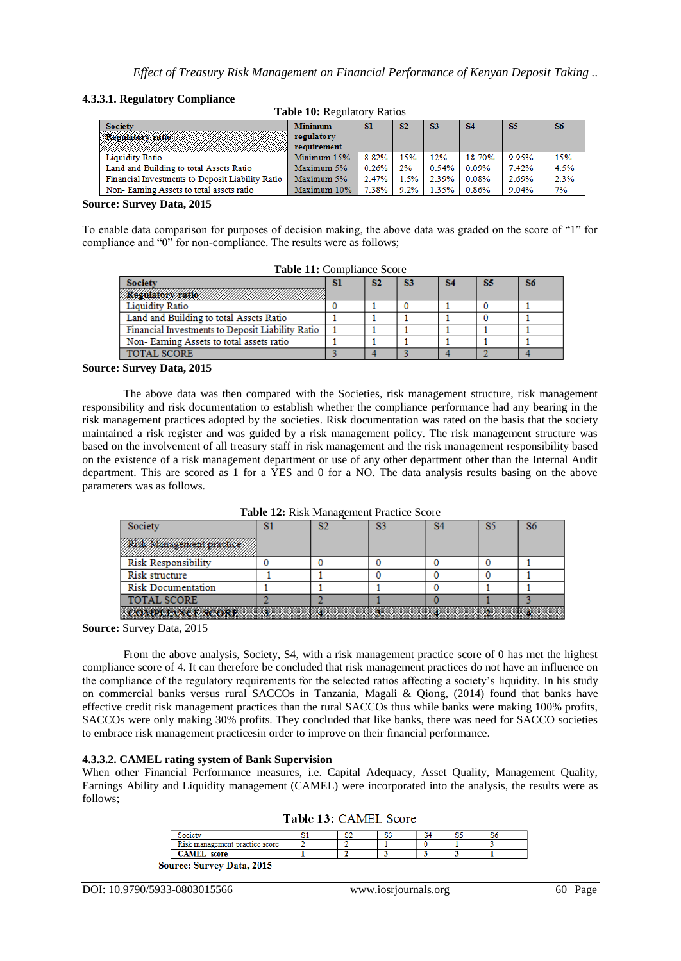## **4.3.3.1. Regulatory Compliance**

| <b>Table To: Regulatory Ratios</b>               |                           |           |      |             |           |       |      |
|--------------------------------------------------|---------------------------|-----------|------|-------------|-----------|-------|------|
| <b>Society</b>                                   | <b>Minimum</b>            | <b>SI</b> | S2   | <b>S3</b>   | <b>S4</b> | S5    | S6   |
| <b><i>Regulatory Katio</i></b>                   | regulatory<br>requirement |           |      |             |           |       |      |
| Liquidity Ratio                                  | Minimum 15%               | 8.82%     | 15%  | 12%         | 18.70%    | 9.95% | 15%  |
| Land and Building to total Assets Ratio          | Maximum 5%                | 0.26%     | 2%   | 0.54%       | $0.09\%$  | 7.42% | 4.5% |
| Financial Investments to Deposit Liability Ratio | Maximum 5%                | 2.47%     | 1.5% | 2.39%       | 0.08%     | 2.69% | 2.3% |
| Non-Earning Assets to total assets ratio         | Maximum 10%               | 7.38%     | 9.2% | 1.35% 0.86% |           | 9.04% | 7%   |

#### **Table 10:** Regulatory Ratios

#### **Source: Survey Data, 2015**

To enable data comparison for purposes of decision making, the above data was graded on the score of "1" for compliance and "0" for non-compliance. The results were as follows;

| <b>Table 11:</b> Comphance Score                 |    |    |    |    |    |    |  |  |
|--------------------------------------------------|----|----|----|----|----|----|--|--|
| <b>Society</b>                                   | SI | S2 | 83 | S4 | S5 | S6 |  |  |
| <b><i>XABURATORY KARROL</i></b>                  |    |    |    |    |    |    |  |  |
| <b>Liquidity Ratio</b>                           |    |    |    |    |    |    |  |  |
| Land and Building to total Assets Ratio          |    |    |    |    |    |    |  |  |
| Financial Investments to Deposit Liability Ratio |    |    |    |    |    |    |  |  |
| Non-Earning Assets to total assets ratio         |    |    |    |    |    |    |  |  |
| <b>TOTAL SCORE</b>                               |    |    |    |    |    |    |  |  |

# **Table 11:** Compliance Score

#### **Source: Survey Data, 2015**

The above data was then compared with the Societies, risk management structure, risk management responsibility and risk documentation to establish whether the compliance performance had any bearing in the risk management practices adopted by the societies. Risk documentation was rated on the basis that the society maintained a risk register and was guided by a risk management policy. The risk management structure was based on the involvement of all treasury staff in risk management and the risk management responsibility based on the existence of a risk management department or use of any other department other than the Internal Audit department. This are scored as 1 for a YES and 0 for a NO. The data analysis results basing on the above parameters was as follows.

|  |  | Table 12: Risk Management Practice Score |  |  |
|--|--|------------------------------------------|--|--|
|--|--|------------------------------------------|--|--|

| Society                    | S2 | S3 | SŚ | S6 |
|----------------------------|----|----|----|----|
| Risil Management pratsite  |    |    |    |    |
| <b>Risk Responsibility</b> |    |    |    |    |
| Risk structure             |    |    |    |    |
| <b>Risk Documentation</b>  |    |    |    |    |
| <b>TOTAL SCORE</b>         |    |    |    |    |
| <b>COMPLIANCE SCORE</b>    |    |    |    |    |

**Source:** Survey Data, 2015

From the above analysis, Society, S4, with a risk management practice score of 0 has met the highest compliance score of 4. It can therefore be concluded that risk management practices do not have an influence on the compliance of the regulatory requirements for the selected ratios affecting a society's liquidity. In his study on commercial banks versus rural SACCOs in Tanzania, Magali & Qiong, (2014) found that banks have effective credit risk management practices than the rural SACCOs thus while banks were making 100% profits, SACCOs were only making 30% profits. They concluded that like banks, there was need for SACCO societies to embrace risk management practicesin order to improve on their financial performance.

#### **4.3.3.2. CAMEL rating system of Bank Supervision**

When other Financial Performance measures, i.e. Capital Adequacy, Asset Quality, Management Quality, Earnings Ability and Liquidity management (CAMEL) were incorporated into the analysis, the results were as follows;

| Risk management practice score   |  |  |  |
|----------------------------------|--|--|--|
| <b>CAMEL</b> score               |  |  |  |
| <b>Source: Survey Data, 2015</b> |  |  |  |

Table 13: CAMEL Score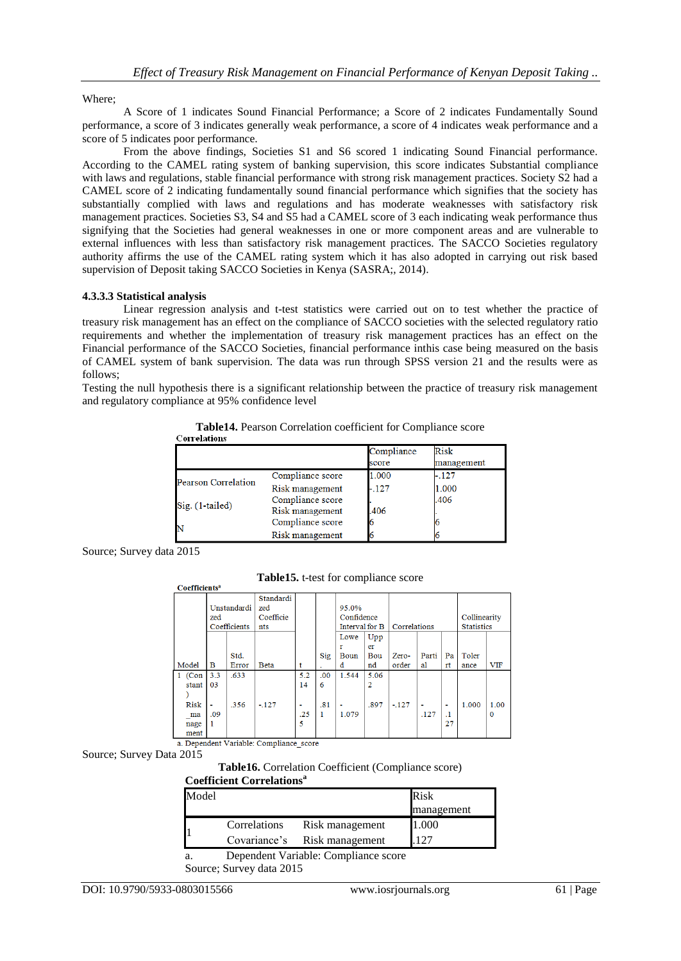# Where;

A Score of 1 indicates Sound Financial Performance; a Score of 2 indicates Fundamentally Sound performance, a score of 3 indicates generally weak performance, a score of 4 indicates weak performance and a score of 5 indicates poor performance.

From the above findings, Societies S1 and S6 scored 1 indicating Sound Financial performance. According to the CAMEL rating system of banking supervision, this score indicates Substantial compliance with laws and regulations, stable financial performance with strong risk management practices. Society S2 had a CAMEL score of 2 indicating fundamentally sound financial performance which signifies that the society has substantially complied with laws and regulations and has moderate weaknesses with satisfactory risk management practices. Societies S3, S4 and S5 had a CAMEL score of 3 each indicating weak performance thus signifying that the Societies had general weaknesses in one or more component areas and are vulnerable to external influences with less than satisfactory risk management practices. The SACCO Societies regulatory authority affirms the use of the CAMEL rating system which it has also adopted in carrying out risk based supervision of Deposit taking SACCO Societies in Kenya (SASRA;, 2014).

# **4.3.3.3 Statistical analysis**

Linear regression analysis and t-test statistics were carried out on to test whether the practice of treasury risk management has an effect on the compliance of SACCO societies with the selected regulatory ratio requirements and whether the implementation of treasury risk management practices has an effect on the Financial performance of the SACCO Societies, financial performance inthis case being measured on the basis of CAMEL system of bank supervision. The data was run through SPSS version 21 and the results were as follows;

Testing the null hypothesis there is a significant relationship between the practice of treasury risk management and regulatory compliance at 95% confidence level

|                            |                                     | Compliance<br>score | <b>Risk</b><br>management |
|----------------------------|-------------------------------------|---------------------|---------------------------|
| <b>Pearson Correlation</b> | Compliance score                    | 1.000               | $-.127$                   |
|                            | Risk management                     | $-127$              | 1.000                     |
| Sig. (1-tailed)            | Compliance score<br>Risk management | .406                | .406                      |
| N                          | Compliance score                    |                     |                           |
|                            | Risk management                     |                     |                           |

**Table14.** Pearson Correlation coefficient for Compliance score

Source; Survey data 2015

**Table15.** t-test for compliance score

|          | zed | Unstandardi  | Standardi<br>zed<br>Coefficie |                |     | 95.0%<br>Confidence |      |              |       |         | Collinearity      |             |
|----------|-----|--------------|-------------------------------|----------------|-----|---------------------|------|--------------|-------|---------|-------------------|-------------|
|          |     | Coefficients | nts                           |                |     | Interval for B      |      | Correlations |       |         | <b>Statistics</b> |             |
|          |     |              |                               |                |     | Lowe                | Upp  |              |       |         |                   |             |
|          |     |              |                               |                |     |                     | er   |              |       |         |                   |             |
|          |     | Std.         |                               |                | Sig | Boun                | Bou  | Zero-        | Parti | Pa      | Toler             |             |
| Model    | в   | Error        | <b>Beta</b>                   |                |     | d                   | nd   | order        | al    | rt      | ance              | <b>VIF</b>  |
| $1$ (Con | 3.3 | .633         |                               | 5.2            | .00 | 1.544               | 5.06 |              |       |         |                   |             |
| stant    | 03  |              |                               | 14             | 6   |                     |      |              |       |         |                   |             |
|          |     |              |                               |                |     |                     |      |              |       |         |                   |             |
| Risk     | ۰   | .356         | $-.127$                       | $\blacksquare$ | .81 |                     | .897 | $-127$       | ٠     | ٠       | 1.000             | 1.00        |
| ma       | .09 |              |                               | .25            | 1   | 1.079               |      |              | .127  | $\cdot$ |                   | $\mathbf 0$ |
| nage     | 1   |              |                               | 5              |     |                     |      |              |       | 27      |                   |             |
| ment     |     |              |                               |                |     |                     |      |              |       |         |                   |             |

a. Dependent Variable: Compliance\_score Source; Survey Data 2015

**Coefficients<sup>a</sup>** 

**Table16.** Correlation Coefficient (Compliance score)

# **Coefficient Correlations<sup>a</sup>**

| Model |              |                 | Risk       |
|-------|--------------|-----------------|------------|
|       |              |                 | management |
|       | Correlations | Risk management | 1.000      |
|       | Covariance's | Risk management | 107        |
|       |              |                 |            |

a. Dependent Variable: Compliance score

Source; Survey data 2015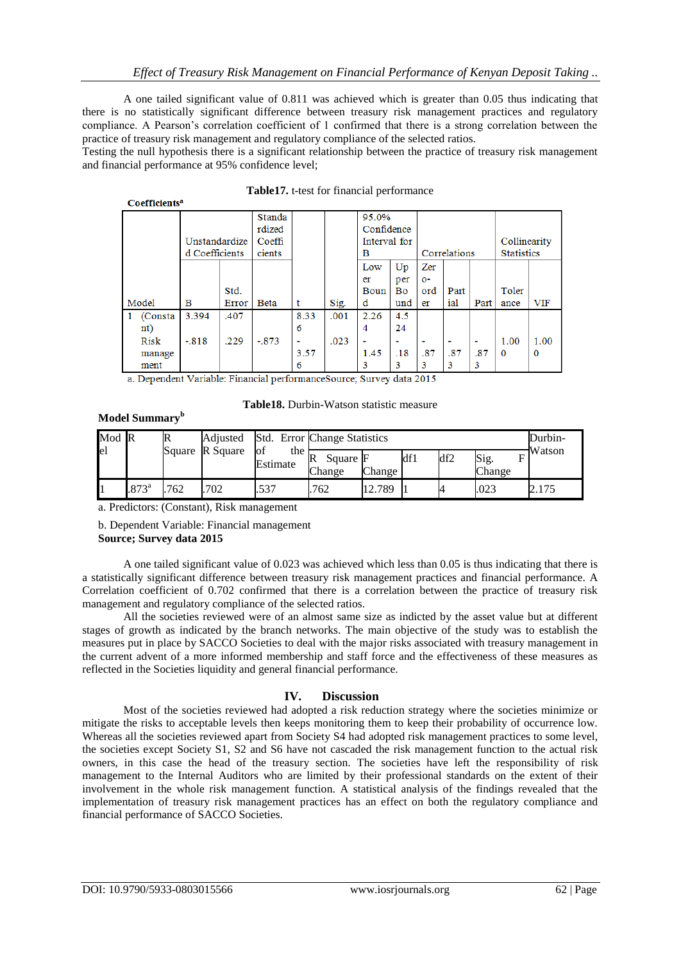A one tailed significant value of 0.811 was achieved which is greater than 0.05 thus indicating that there is no statistically significant difference between treasury risk management practices and regulatory compliance. A Pearson's correlation coefficient of 1 confirmed that there is a strong correlation between the practice of treasury risk management and regulatory compliance of the selected ratios.

Testing the null hypothesis there is a significant relationship between the practice of treasury risk management and financial performance at 95% confidence level;

| Соспитения |                |       |              |      |        |              |     |       |                |                |                   |            |  |       |  |  |  |  |  |
|------------|----------------|-------|--------------|------|--------|--------------|-----|-------|----------------|----------------|-------------------|------------|--|-------|--|--|--|--|--|
|            |                |       |              |      | Standa |              |     |       |                |                |                   |            |  | 95.0% |  |  |  |  |  |
|            |                |       | rdized       |      |        | Confidence   |     |       |                |                |                   |            |  |       |  |  |  |  |  |
|            | Unstandardize  |       | Coeffi       |      |        | Interval for |     |       |                |                | Collinearity      |            |  |       |  |  |  |  |  |
|            | d Coefficients |       | cients       |      |        | в            |     |       | Correlations   |                | <b>Statistics</b> |            |  |       |  |  |  |  |  |
|            |                |       |              |      |        | Low          | Up  | Zer   |                |                |                   |            |  |       |  |  |  |  |  |
|            |                |       |              |      |        | er           | per | $O -$ |                |                |                   |            |  |       |  |  |  |  |  |
|            |                | Std.  |              |      |        | Boun         | Bo  | ord   | Part           |                | Toler             |            |  |       |  |  |  |  |  |
| Model      | в              | Error | <b>B</b> eta | t    | Sig.   | d            | und | er    | ial            | Part           | ance              | <b>VIF</b> |  |       |  |  |  |  |  |
| (Consta    | 3.394          | .407  |              | 8.33 | .001   | 2.26         | 4.5 |       |                |                |                   |            |  |       |  |  |  |  |  |
| nt)        |                |       |              | 6    |        | 4            | 24  |       |                |                |                   |            |  |       |  |  |  |  |  |
| Risk       | $-.818$        | .229  | $-.873$      | ٠    | .023   | -            |     |       | $\blacksquare$ | $\blacksquare$ | 1.00              | 1.00       |  |       |  |  |  |  |  |
| manage     |                |       |              | 3.57 |        | 1.45         | .18 | .87   | .87            | .87            | $\Omega$          | 0          |  |       |  |  |  |  |  |
| ment       |                |       |              | 6    |        | 3            | 3   | 3     | 3              | 3              |                   |            |  |       |  |  |  |  |  |

|  |  | Table17. t-test for financial performance |
|--|--|-------------------------------------------|
|  |  |                                           |

a. Dependent Variable: Financial performanceSource; Survey data 2015

| <b>Table18.</b> Durbin-Watson statistic measure |  |
|-------------------------------------------------|--|
|-------------------------------------------------|--|

|  | Model Summary <sup>b</sup> |
|--|----------------------------|
|--|----------------------------|

| Mod R | $\mathbb R$    |        | Adjusted                |                             | Std. Error Change Statistics<br>Durbin- |        |     |     |                |        |  |  |
|-------|----------------|--------|-------------------------|-----------------------------|-----------------------------------------|--------|-----|-----|----------------|--------|--|--|
| el    |                | Square | R Square<br><b>l</b> of | the $R_{\odot}$<br>Estimate | Square F<br>Change                      | Change | df1 | df2 | Sig.<br>Change | Watson |  |  |
|       | $.873^{\circ}$ | .762   | .702                    | .537                        | 762                                     | 12.789 |     |     | .023           | .      |  |  |

a. Predictors: (Constant), Risk management

b. Dependent Variable: Financial management **Source; Survey data 2015**

A one tailed significant value of 0.023 was achieved which less than 0.05 is thus indicating that there is a statistically significant difference between treasury risk management practices and financial performance. A Correlation coefficient of 0.702 confirmed that there is a correlation between the practice of treasury risk management and regulatory compliance of the selected ratios.

All the societies reviewed were of an almost same size as indicted by the asset value but at different stages of growth as indicated by the branch networks. The main objective of the study was to establish the measures put in place by SACCO Societies to deal with the major risks associated with treasury management in the current advent of a more informed membership and staff force and the effectiveness of these measures as reflected in the Societies liquidity and general financial performance.

# **IV. Discussion**

Most of the societies reviewed had adopted a risk reduction strategy where the societies minimize or mitigate the risks to acceptable levels then keeps monitoring them to keep their probability of occurrence low. Whereas all the societies reviewed apart from Society S4 had adopted risk management practices to some level, the societies except Society S1, S2 and S6 have not cascaded the risk management function to the actual risk owners, in this case the head of the treasury section. The societies have left the responsibility of risk management to the Internal Auditors who are limited by their professional standards on the extent of their involvement in the whole risk management function. A statistical analysis of the findings revealed that the implementation of treasury risk management practices has an effect on both the regulatory compliance and financial performance of SACCO Societies.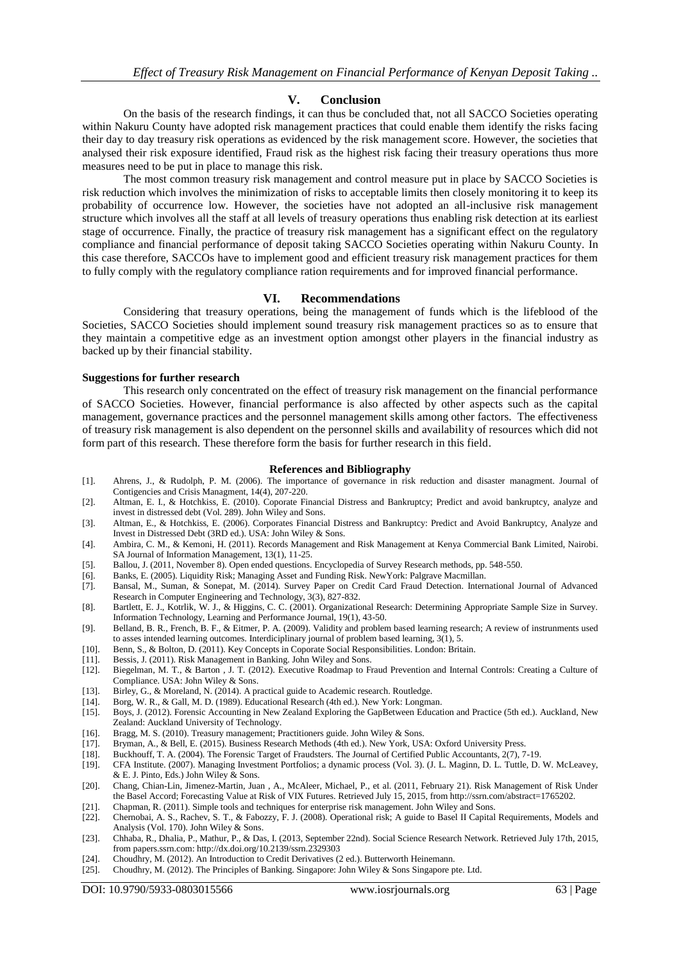## **V. Conclusion**

On the basis of the research findings, it can thus be concluded that, not all SACCO Societies operating within Nakuru County have adopted risk management practices that could enable them identify the risks facing their day to day treasury risk operations as evidenced by the risk management score. However, the societies that analysed their risk exposure identified, Fraud risk as the highest risk facing their treasury operations thus more measures need to be put in place to manage this risk.

The most common treasury risk management and control measure put in place by SACCO Societies is risk reduction which involves the minimization of risks to acceptable limits then closely monitoring it to keep its probability of occurrence low. However, the societies have not adopted an all-inclusive risk management structure which involves all the staff at all levels of treasury operations thus enabling risk detection at its earliest stage of occurrence. Finally, the practice of treasury risk management has a significant effect on the regulatory compliance and financial performance of deposit taking SACCO Societies operating within Nakuru County. In this case therefore, SACCOs have to implement good and efficient treasury risk management practices for them to fully comply with the regulatory compliance ration requirements and for improved financial performance.

## **VI. Recommendations**

Considering that treasury operations, being the management of funds which is the lifeblood of the Societies, SACCO Societies should implement sound treasury risk management practices so as to ensure that they maintain a competitive edge as an investment option amongst other players in the financial industry as backed up by their financial stability.

#### **Suggestions for further research**

This research only concentrated on the effect of treasury risk management on the financial performance of SACCO Societies. However, financial performance is also affected by other aspects such as the capital management, governance practices and the personnel management skills among other factors. The effectiveness of treasury risk management is also dependent on the personnel skills and availability of resources which did not form part of this research. These therefore form the basis for further research in this field.

#### **References and Bibliography**

- [1]. Ahrens, J., & Rudolph, P. M. (2006). The importance of governance in risk reduction and disaster managment. Journal of Contigencies and Crisis Managment, 14(4), 207-220.
- [2]. Altman, E. I., & Hotchkiss, E. (2010). Coporate Financial Distress and Bankruptcy; Predict and avoid bankruptcy, analyze and invest in distressed debt (Vol. 289). John Wiley and Sons.
- [3]. Altman, E., & Hotchkiss, E. (2006). Corporates Financial Distress and Bankruptcy: Predict and Avoid Bankruptcy, Analyze and Invest in Distressed Debt (3RD ed.). USA: John Wiley & Sons.
- [4]. Ambira, C. M., & Kemoni, H. (2011). Records Management and Risk Management at Kenya Commercial Bank Limited, Nairobi. SA Journal of Information Management, 13(1), 11-25.
- [5]. Ballou, J. (2011, November 8). Open ended questions. Encyclopedia of Survey Research methods, pp. 548-550.
- [6]. Banks, E. (2005). Liquidity Risk; Managing Asset and Funding Risk. NewYork: Palgrave Macmillan.
- [7]. Bansal, M., Suman, & Sonepat, M. (2014). Survey Paper on Credit Card Fraud Detection. International Journal of Advanced Research in Computer Engineering and Technology, 3(3), 827-832.
- [8]. Bartlett, E. J., Kotrlik, W. J., & Higgins, C. C. (2001). Organizational Research: Determining Appropriate Sample Size in Survey. Information Technology, Learning and Performance Journal, 19(1), 43-50.
- [9]. Belland, B. R., French, B. F., & Eitmer, P. A. (2009). Validity and problem based learning research; A review of instrunments used to asses intended learning outcomes. Interdiciplinary journal of problem based learning, 3(1), 5.
- [10]. Benn, S., & Bolton, D. (2011). Key Concepts in Coporate Social Responsibilities. London: Britain.
- [11]. Bessis, J. (2011). Risk Management in Banking. John Wiley and Sons.<br>[12]. Biegelman, M. T., & Barton, J. T. (2012). Executive Roadmap to F.
- [12]. Biegelman, M. T., & Barton , J. T. (2012). Executive Roadmap to Fraud Prevention and Internal Controls: Creating a Culture of Compliance. USA: John Wiley & Sons.
- [13]. Birley, G., & Moreland, N. (2014). A practical guide to Academic research. Routledge.
- [14]. Borg, W. R., & Gall, M. D. (1989). Educational Research (4th ed.). New York: Longman.
- [15]. Boys, J. (2012). Forensic Accounting in New Zealand Exploring the GapBetween Education and Practice (5th ed.). Auckland, New Zealand: Auckland University of Technology.
- [16]. Bragg, M. S. (2010). Treasury management; Practitioners guide. John Wiley & Sons.
- [17]. Bryman, A., & Bell, E. (2015). Business Research Methods (4th ed.). New York, USA: Oxford University Press.
- [18]. Buckhouff, T. A. (2004). The Forensic Target of Fraudsters. The Journal of Certified Public Accountants, 2(7), 7-19.
- [19]. CFA Institute. (2007). Managing Investment Portfolios; a dynamic process (Vol. 3). (J. L. Maginn, D. L. Tuttle, D. W. McLeavey, & E. J. Pinto, Eds.) John Wiley & Sons.
- [20]. Chang, Chian-Lin, Jimenez-Martin, Juan , A., McAleer, Michael, P., et al. (2011, February 21). Risk Management of Risk Under the Basel Accord; Forecasting Value at Risk of VIX Futures. Retrieved July 15, 2015, from http://ssrn.com/abstract=1765202.
- [21]. Chapman, R. (2011). Simple tools and techniques for enterprise risk management. John Wiley and Sons.
- [22]. Chernobai, A. S., Rachev, S. T., & Fabozzy, F. J. (2008). Operational risk; A guide to Basel II Capital Requirements, Models and Analysis (Vol. 170). John Wiley & Sons.
- [23]. Chhaba, R., Dhalia, P., Mathur, P., & Das, I. (2013, September 22nd). Social Science Research Network. Retrieved July 17th, 2015, from papers.ssrn.com: http://dx.doi.org/10.2139/ssrn.2329303
- [24]. Choudhry, M. (2012). An Introduction to Credit Derivatives (2 ed.). Butterworth Heinemann.
- [25]. Choudhry, M. (2012). The Principles of Banking. Singapore: John Wiley & Sons Singapore pte. Ltd.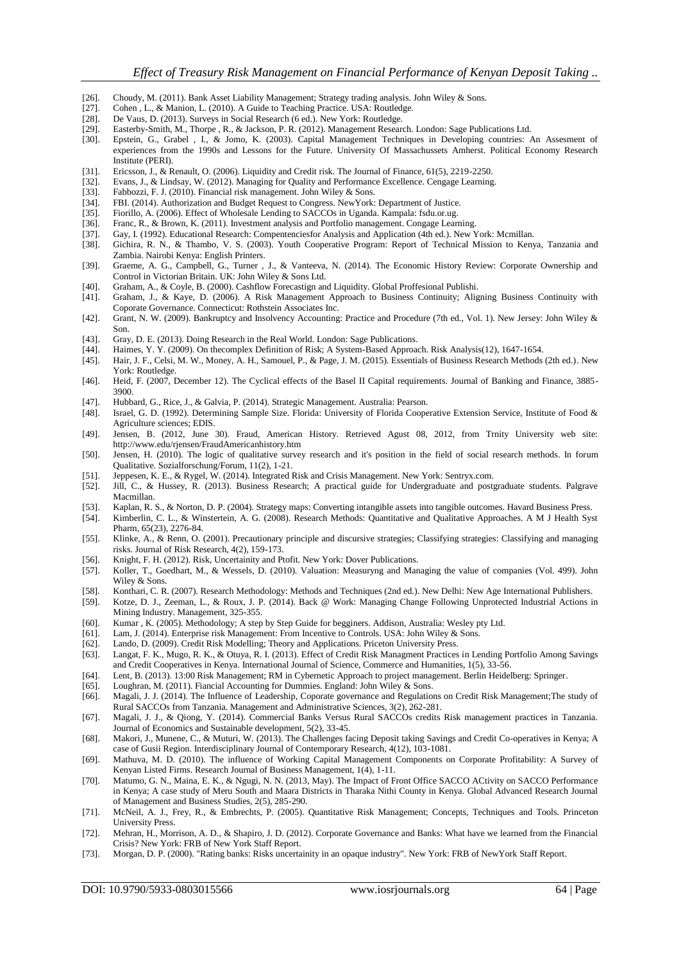- [26]. Choudy, M. (2011). Bank Asset Liability Management; Strategy trading analysis. John Wiley & Sons.
- [27]. Cohen , L., & Manion, L. (2010). A Guide to Teaching Practice. USA: Routledge. [28]. De Vaus, D. (2013). Surveys in Social Research (6 ed.). New York: Routledge.
- De Vaus, D. (2013). Surveys in Social Research (6 ed.). New York: Routledge.
- [29]. Easterby-Smith, M., Thorpe , R., & Jackson, P. R. (2012). Management Research. London: Sage Publications Ltd.
- [30]. Epstein, G., Grabel , I., & Jomo, K. (2003). Capital Management Techniques in Developing countries: An Assesment of experiences from the 1990s and Lessons for the Future. University Of Massachussets Amherst. Political Economy Research Institute (PERI).
- [31]. Ericsson, J., & Renault, O. (2006). Liquidity and Credit risk. The Journal of Finance, 61(5), 2219-2250.
- [32]. Evans, J., & Lindsay, W. (2012). Managing for Quality and Performance Excellence. Cengage Learning. [33]. Fabbozzi, F. J. (2010). Financial risk management. John Wiley & Sons.
- Fabbozzi, F. J. (2010). Financial risk management. John Wiley & Sons.
- [34]. FBI. (2014). Authorization and Budget Request to Congress. NewYork: Department of Justice.
- [35]. Fiorillo, A. (2006). Effect of Wholesale Lending to SACCOs in Uganda. Kampala: fsdu.or.ug.
- [36]. Franc, R., & Brown, K. (2011). Investment analysis and Portfolio management. Congage Learning.<br>[37]. Gay, I. (1992). Educational Research: Compentencies for Analysis and Application (4th ed.). New Y
- [37]. Gay, I. (1992). Educational Research: Compentenciesfor Analysis and Application (4th ed.). New York: Mcmillan.
- [38]. Gichira, R. N., & Thambo, V. S. (2003). Youth Cooperative Program: Report of Technical Mission to Kenya, Tanzania and Zambia. Nairobi Kenya: English Printers.
- [39]. Graeme, A. G., Campbell, G., Turner , J., & Vanteeva, N. (2014). The Economic History Review: Corporate Ownership and Control in Victorian Britain. UK: John Wiley & Sons Ltd.
- [40]. Graham, A., & Coyle, B. (2000). Cashflow Forecastign and Liquidity. Global Proffesional Publishi.
- [41]. Graham, J., & Kaye, D. (2006). A Risk Management Approach to Business Continuity; Aligning Business Continuity with Coporate Governance. Connecticut: Rothstein Associates Inc.
- [42]. Grant, N. W. (2009). Bankruptcy and Insolvency Accounting: Practice and Procedure (7th ed., Vol. 1). New Jersey: John Wiley & Son.
- [43]. Gray, D. E. (2013). Doing Research in the Real World. London: Sage Publications.<br>[44]. Haimes, Y. Y. (2009). On the complex Definition of Risk: A System-Based Approa
- Haimes, Y. Y. (2009). On thecomplex Definition of Risk; A System-Based Approach. Risk Analysis(12), 1647-1654.
- [45]. Hair, J. F., Celsi, M. W., Money, A. H., Samouel, P., & Page, J. M. (2015). Essentials of Business Research Methods (2th ed.). New York: Routledge.
- [46]. Heid, F. (2007, December 12). The Cyclical effects of the Basel II Capital requirements. Journal of Banking and Finance, 3885- 3900.
- [47]. Hubbard, G., Rice, J., & Galvia, P. (2014). Strategic Management. Australia: Pearson.
- [48]. Israel, G. D. (1992). Determining Sample Size. Florida: University of Florida Cooperative Extension Service, Institute of Food & Agriculture sciences; EDIS.
- [49]. Jensen, B. (2012, June 30). Fraud, American History. Retrieved Agust 08, 2012, from Trnity University web site: http://www.edu/rjensen/FraudAmericanhistory.htm
- [50]. Jensen, H. (2010). The logic of qualitative survey research and it's position in the field of social research methods. In forum Qualitative. Sozialforschung/Forum, 11(2), 1-21.
- [51]. Jeppesen, K. E., & Rygel, W. (2014). Integrated Risk and Crisis Management. New York: Sentryx.com.
- [52]. Jill, C., & Hussey, R. (2013). Business Research; A practical guide for Undergraduate and postgraduate students. Palgrave Macmillan.
- [53]. Kaplan, R. S., & Norton, D. P. (2004). Strategy maps: Converting intangible assets into tangible outcomes. Havard Business Press.
- [54]. Kimberlin, C. L., & Winstertein, A. G. (2008). Research Methods: Quantitative and Qualitative Approaches. A M J Health Syst Pharm, 65(23), 2276-84.
- [55]. Klinke, A., & Renn, O. (2001). Precautionary principle and discursive strategies; Classifying strategies: Classifying and managing risks. Journal of Risk Research, 4(2), 159-173.
- [56]. Knight, F. H. (2012). Risk, Uncertainity and Ptofit. New York: Dover Publications.<br>[57]. Koller, T., Goedhart, M., & Wessels, D. (2010). Valuation: Measuryng and Mar
- [57]. Koller, T., Goedhart, M., & Wessels, D. (2010). Valuation: Measuryng and Managing the value of companies (Vol. 499). John Wiley & Sons.
- [58]. Konthari, C. R. (2007). Research Methodology: Methods and Techniques (2nd ed.). New Delhi: New Age International Publishers.
- [59]. Kotze, D. J., Zeeman, L., & Roux, J. P. (2014). Back @ Work: Managing Change Following Unprotected Industrial Actions in Mining Industry. Management, 325-355.
- [60]. Kumar , K. (2005). Methodology; A step by Step Guide for begginers. Addison, Australia: Wesley pty Ltd.
- [61]. Lam, J. (2014). Enterprise risk Management: From Incentive to Controls. USA: John Wiley & Sons. [62]. Lando, D. (2009). Credit Risk Modelling; Theory and Applications. Priceton University Press.
- Lando, D. (2009). Credit Risk Modelling; Theory and Applications. Priceton University Press.
- [63]. Langat, F. K., Mugo, R. K., & Otuya, R. I. (2013). Effect of Credit Risk Managment Practices in Lending Portfolio Among Savings and Credit Cooperatives in Kenya. International Journal of Science, Commerce and Humanities, 1(5), 33-56.
- [64]. Lent, B. (2013). 13:00 Risk Management; RM in Cybernetic Approach to project management. Berlin Heidelberg: Springer.
- [65]. Loughran, M. (2011). Fiancial Accounting for Dummies. England: John Wiley & Sons.
- [66]. Magali, J. J. (2014). The Influence of Leadership, Coporate governance and Regulations on Credit Risk Management;The study of Rural SACCOs from Tanzania. Management and Administrative Sciences, 3(2), 262-281.
- [67]. Magali, J. J., & Qiong, Y. (2014). Commercial Banks Versus Rural SACCOs credits Risk management practices in Tanzania. Journal of Economics and Sustainable development, 5(2), 33-45.
- [68]. Makori, J., Munene, C., & Muturi, W. (2013). The Challenges facing Deposit taking Savings and Credit Co-operatives in Kenya; A case of Gusii Region. Interdisciplinary Journal of Contemporary Research, 4(12), 103-1081.
- [69]. Mathuva, M. D. (2010). The influence of Working Capital Management Components on Corporate Profitability: A Survey of Kenyan Listed Firms. Research Journal of Business Management, 1(4), 1-11.
- [70]. Matumo, G. N., Maina, E. K., & Ngugi, N. N. (2013, May). The Impact of Front Office SACCO ACtivity on SACCO Performance in Kenya; A case study of Meru South and Maara Districts in Tharaka Nithi County in Kenya. Global Advanced Research Journal of Management and Business Studies, 2(5), 285-290.
- [71]. McNeil, A. J., Frey, R., & Embrechts, P. (2005). Quantitative Risk Management; Concepts, Techniques and Tools. Princeton University Press.
- [72]. Mehran, H., Morrison, A. D., & Shapiro, J. D. (2012). Corporate Governance and Banks: What have we learned from the Financial Crisis? New York: FRB of New York Staff Report.
- [73]. Morgan, D. P. (2000). "Rating banks: Risks uncertainity in an opaque industry". New York: FRB of NewYork Staff Report.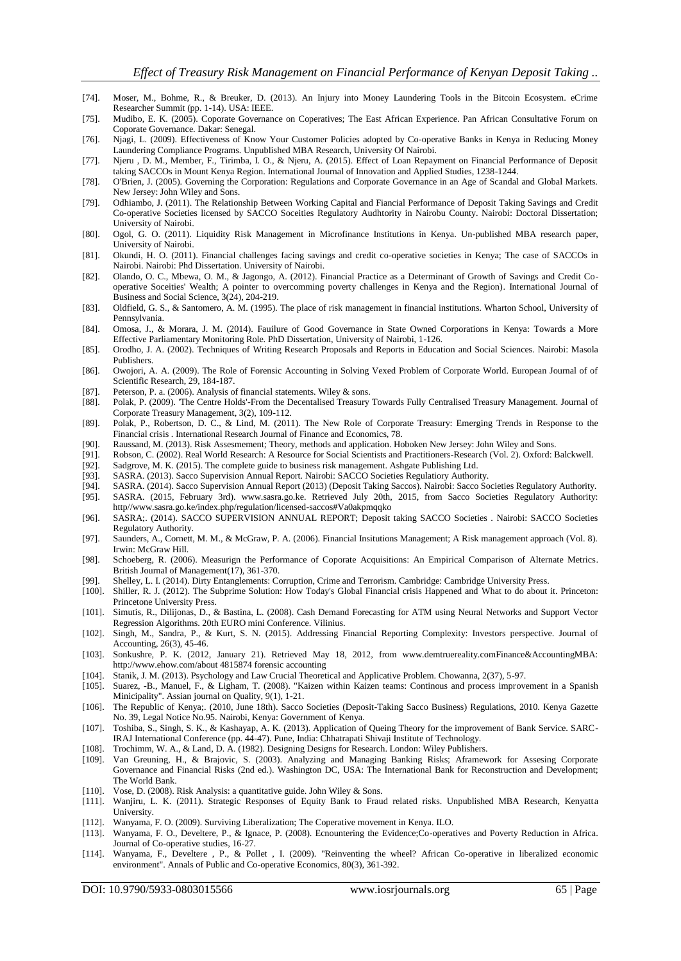- [74]. Moser, M., Bohme, R., & Breuker, D. (2013). An Injury into Money Laundering Tools in the Bitcoin Ecosystem. eCrime Researcher Summit (pp. 1-14). USA: IEEE.
- [75]. Mudibo, E. K. (2005). Coporate Governance on Coperatives; The East African Experience. Pan African Consultative Forum on Coporate Governance. Dakar: Senegal.
- [76]. Njagi, L. (2009). Effectiveness of Know Your Customer Policies adopted by Co-operative Banks in Kenya in Reducing Money Laundering Compliance Programs. Unpublished MBA Research, University Of Nairobi.
- [77]. Njeru , D. M., Member, F., Tirimba, I. O., & Njeru, A. (2015). Effect of Loan Repayment on Financial Performance of Deposit taking SACCOs in Mount Kenya Region. International Journal of Innovation and Applied Studies, 1238-1244.
- [78]. O'Brien, J. (2005). Governing the Corporation: Regulations and Corporate Governance in an Age of Scandal and Global Markets. New Jersey: John Wiley and Sons.
- [79]. Odhiambo, J. (2011). The Relationship Between Working Capital and Fiancial Performance of Deposit Taking Savings and Credit Co-operative Societies licensed by SACCO Soceities Regulatory Audhtority in Nairobu County. Nairobi: Doctoral Dissertation; University of Nairobi.
- [80]. Ogol, G. O. (2011). Liquidity Risk Management in Microfinance Institutions in Kenya. Un-published MBA research paper, University of Nairobi.
- [81]. Okundi, H. O. (2011). Financial challenges facing savings and credit co-operative societies in Kenya; The case of SACCOs in Nairobi. Nairobi: Phd Dissertation. University of Nairobi.
- [82]. Olando, O. C., Mbewa, O. M., & Jagongo, A. (2012). Financial Practice as a Determinant of Growth of Savings and Credit Cooperative Soceities' Wealth; A pointer to overcomming poverty challenges in Kenya and the Region). International Journal of Business and Social Science, 3(24), 204-219.
- [83]. Oldfield, G. S., & Santomero, A. M. (1995). The place of risk management in financial institutions. Wharton School, University of Pennsylvania.
- [84]. Omosa, J., & Morara, J. M. (2014). Fauilure of Good Governance in State Owned Corporations in Kenya: Towards a More Effective Parliamentary Monitoring Role. PhD Dissertation, University of Nairobi, 1-126.
- [85]. Orodho, J. A. (2002). Techniques of Writing Research Proposals and Reports in Education and Social Sciences. Nairobi: Masola Publishers.
- [86]. Owojori, A. A. (2009). The Role of Forensic Accounting in Solving Vexed Problem of Corporate World. European Journal of of Scientific Research, 29, 184-187.
- [87]. Peterson, P. a. (2006). Analysis of financial statements. Wiley & sons.
- [88]. Polak, P. (2009). 'The Centre Holds'-From the Decentalised Treasury Towards Fully Centralised Treasury Management. Journal of Corporate Treasury Management, 3(2), 109-112.
- [89]. Polak, P., Robertson, D. C., & Lind, M. (2011). The New Role of Corporate Treasury: Emerging Trends in Response to the Financial crisis . International Research Journal of Finance and Economics, 78.
- [90]. Raussand, M. (2013). Risk Assesmement; Theory, methods and application. Hoboken New Jersey: John Wiley and Sons. [91]. Robson, C. (2002). Real World Research: A Resource for Social Scientists and Practitioners-Resear
- [91]. Robson, C. (2002). Real World Research: A Resource for Social Scientists and Practitioners-Research (Vol. 2). Oxford: Balckwell. [92]. Sadgrove, M. K. (2015). The complete guide to business risk management. Ashgate P
- Sadgrove, M. K. (2015). The complete guide to business risk management. Ashgate Publishing Ltd.
- [93]. SASRA. (2013). Sacco Supervision Annual Report. Nairobi: SACCO Societies Regulatiory Authority.
- [94]. SASRA. (2014). Sacco Supervision Annual Report (2013) (Deposit Taking Saccos). Nairobi: Sacco Societies Regulatory Authority. SASRA. (2015, February 3rd). www.sasra.go.ke. Retrieved July 20th, 2015, from Sacco Societies Regulatory Authority:
- http//www.sasra.go.ke/index.php/regulation/licensed-saccos#Va0akpmqqko [96]. SASRA;. (2014). SACCO SUPERVISION ANNUAL REPORT; Deposit taking SACCO Societies . Nairobi: SACCO Societies
- Regulatory Authority.
- [97]. Saunders, A., Cornett, M. M., & McGraw, P. A. (2006). Financial Insitutions Management; A Risk management approach (Vol. 8). Irwin: McGraw Hill.
- [98]. Schoeberg, R. (2006). Measurign the Performance of Coporate Acquisitions: An Empirical Comparison of Alternate Metrics. British Journal of Management(17), 361-370.
- [99]. Shelley, L. I. (2014). Dirty Entanglements: Corruption, Crime and Terrorism. Cambridge: Cambridge University Press.
- [100]. Shiller, R. J. (2012). The Subprime Solution: How Today's Global Financial crisis Happened and What to do about it. Princeton: Princetone University Press.
- [101]. Simutis, R., Dilijonas, D., & Bastina, L. (2008). Cash Demand Forecasting for ATM using Neural Networks and Support Vector Regression Algorithms. 20th EURO mini Conference. Vilinius.
- [102]. Singh, M., Sandra, P., & Kurt, S. N. (2015). Addressing Financial Reporting Complexity: Investors perspective. Journal of Accounting, 26(3), 45-46.
- [103]. Sonkushre, P. K. (2012, January 21). Retrieved May 18, 2012, from www.demtruereality.comFinance&AccountingMBA: http://www.ehow.com/about 4815874 forensic accounting
- [104]. Stanik, J. M. (2013). Psychology and Law Crucial Theoretical and Applicative Problem. Chowanna, 2(37), 5-97.
- [105]. Suarez, -B., Manuel, F., & Ligham, T. (2008). "Kaizen within Kaizen teams: Continous and process improvement in a Spanish Minicipality". Assian journal on Quality, 9(1), 1-21.
- [106]. The Republic of Kenya;. (2010, June 18th). Sacco Societies (Deposit-Taking Sacco Business) Regulations, 2010. Kenya Gazette No. 39, Legal Notice No.95. Nairobi, Kenya: Government of Kenya.
- [107]. Toshiba, S., Singh, S. K., & Kashayap, A. K. (2013). Application of Queing Theory for the improvement of Bank Service. SARC-IRAJ International Conference (pp. 44-47). Pune, India: Chhatrapati Shivaji Institute of Technology.
- [108]. Trochimm, W. A., & Land, D. A. (1982). Designing Designs for Research. London: Wiley Publishers.
- [109]. Van Greuning, H., & Brajovic, S. (2003). Analyzing and Managing Banking Risks; Aframework for Assesing Corporate Governance and Financial Risks (2nd ed.). Washington DC, USA: The International Bank for Reconstruction and Development; The World Bank.
- [110]. Vose, D. (2008). Risk Analysis: a quantitative guide. John Wiley & Sons.
- [111]. Wanjiru, L. K. (2011). Strategic Responses of Equity Bank to Fraud related risks. Unpublished MBA Research, Kenyatta University.
- [112]. Wanyama, F. O. (2009). Surviving Liberalization; The Coperative movement in Kenya. ILO.
- [113]. Wanyama, F. O., Develtere, P., & Ignace, P. (2008). Ecnountering the Evidence;Co-operatives and Poverty Reduction in Africa. Journal of Co-operative studies, 16-27.
- [114]. Wanyama, F., Develtere , P., & Pollet , I. (2009). "Reinventing the wheel? African Co-operative in liberalized economic environment". Annals of Public and Co-operative Economics, 80(3), 361-392.